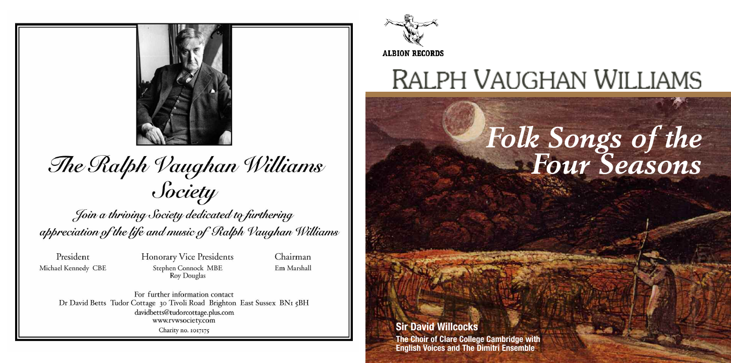

The Ralph Vaughan Williams Society

Join a thriving Society dedicated to furthering appreciation of the life and music of Ralph Vaughan Williams

President Michael Kennedy CBE **Honorary Vice Presidents** Stephen Connock MBE **Roy Douglas** 

Chairman Em Marshall

For further information contact Dr David Betts Tudor Cottage 30 Tivoli Road Brighton East Sussex BNI 5BH davidbetts@tudorcottage.plus.com www.rvwsociety.com Charity no. 1017175



## **RALPH VAUGHAN WILLIAMS**

# *Folk Songs of the Four Seasons*

**ACRA** 

#### **Sir David Willcocks**

**The Choir of Clare College Cambridge with English Voices and The Dimitri Ensemble**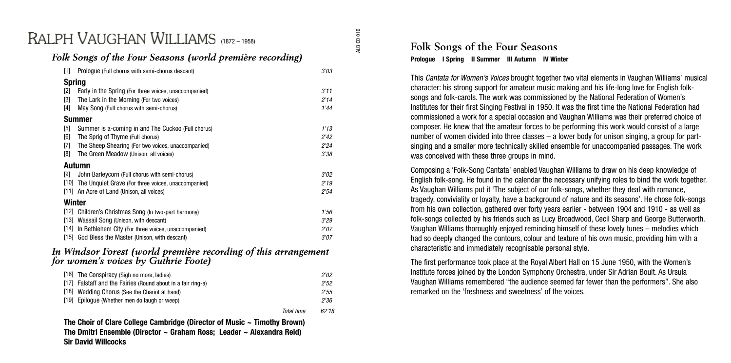### RAI PH VAUGHAN WILLIAMS (1872-1958)

#### *Folk Songs of the Four Seasons (world première recording)*

| $[1]$         | Prologue (Full chorus with semi-chorus descant)       | 3'03 |  |  |
|---------------|-------------------------------------------------------|------|--|--|
| <b>Spring</b> |                                                       |      |  |  |
| [2]           | Early in the Spring (For three voices, unaccompanied) | 3'11 |  |  |
| $[3]$         | The Lark in the Morning (For two voices)              | 2'14 |  |  |
| $[4]$         | May Song (Full chorus with semi-chorus)               | 1'44 |  |  |
| Summer        |                                                       |      |  |  |
| $[5]$         | Summer is a-coming in and The Cuckoo (Full chorus)    | 1'13 |  |  |
| [6]           | The Sprig of Thyme (Full chorus)                      | 2'42 |  |  |
| $[7]$         | The Sheep Shearing (For two voices, unaccompanied)    | 2'24 |  |  |
| [8]           | The Green Meadow (Unison, all voices)                 | 3'38 |  |  |
| Autumn        |                                                       |      |  |  |
| [9]           | John Barleycorn (Full chorus with semi-chorus)        | 3'02 |  |  |
| $[10]$        | The Unquiet Grave (For three voices, unaccompanied)   | 2'19 |  |  |
|               | [11] An Acre of Land (Unison, all voices)             | 2'54 |  |  |
| Winter        |                                                       |      |  |  |
|               | [12] Children's Christmas Song (In two-part harmony)  | 1'56 |  |  |
| [13]          | Wassail Song (Unison, with descant)                   | 3'29 |  |  |
| $[14]$        | In Bethlehem City (For three voices, unaccompanied)   | 2'07 |  |  |
|               | [15] God Bless the Master (Unison, with descant)      | 3'07 |  |  |

#### *In Windsor Forest (world première recording of this arrangement for women's voices by Guthrie Foote)*

| [16] The Conspiracy (Sigh no more, ladies)                   |            | 2'02  |
|--------------------------------------------------------------|------------|-------|
| [17] Falstaff and the Fairies (Round about in a fair ring-a) |            | 2'52  |
| [18] Wedding Chorus (See the Chariot at hand)                |            | 2'55  |
| [19] Epiloque (Whether men do laugh or weep)                 |            | 2'36  |
|                                                              | Total time | 62'18 |

**The Choir of Clare College Cambridge (Director of Music ~ Timothy Brown) The Dmitri Ensemble (Director ~ Graham Ross; Leader ~ Alexandra Reid) Sir David Willcocks**

#### **Folk Songs of the Four Seasons Prologue I Spring II Summer III Autumn IV Winter**

This Cantata for Women's Voices brought together two vital elements in Vaughan Williams' musical character: his strong support for amateur music making and his life-long love for English folksongs and folk-carols. The work was commissioned by the National Federation of Women's Institutes for their first Singing Festival in 1950. It was the first time the National Federation had commissioned a work for a special occasion and Vaughan Williams was their preferred choice of composer. He knew that the amateur forces to be performing this work would consist of a large number of women divided into three classes – a lower body for unison singing, a group for partsinging and a smaller more technically skilled ensemble for unaccompanied passages. The work was conceived with these three groups in mind.

Composing a 'Folk-Song Cantata' enabled Vaughan Williams to draw on his deep knowledge of English folk-song. He found in the calendar the necessary unifying roles to bind the work together. As Vaughan Williams put it 'The subject of our folk-songs, whether they deal with romance, tragedy, conviviality or loyalty, have a background of nature and its seasons'. He chose folk-songs from his own collection, gathered over forty years earlier - between 1904 and 1910 - as well as folk-songs collected by his friends such as Lucy Broadwood, Cecil Sharp and George Butterworth. Vaughan Williams thoroughly enjoyed reminding himself of these lovely tunes – melodies which had so deeply changed the contours, colour and texture of his own music, providing him with a characteristic and immediately recognisable personal style.

The first performance took place at the Royal Albert Hall on 15 June 1950, with the Women's Institute forces joined by the London Symphony Orchestra, under Sir Adrian Boult. As Ursula Vaughan Williams remembered "the audience seemed far fewer than the performers". She also remarked on the 'freshness and sweetness' of the voices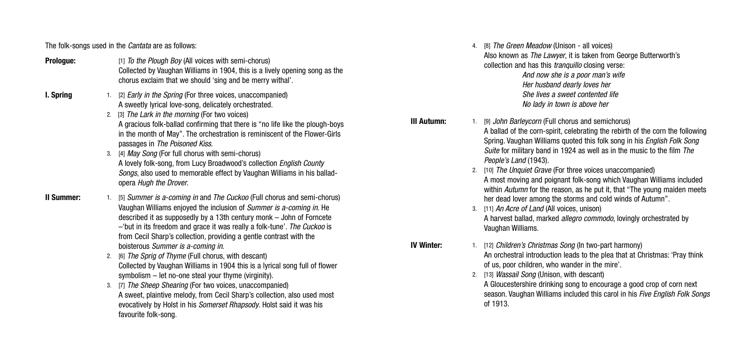The folk-songs used in the *Cantata* are as follows:

- **Prologue: Prologue: Prologue: Prologue: Prologue: Prologue: Prologue: Prologue: Prologue: Prologue: Prologue: Prologue: Prologue: Prologue: Propogue: Propogue: Propogue: Propogue: Propo** Collected by Vaughan Williams in 1904, this is a lively opening song as the chorus exclaim that we should 'sing and be merry withal'.
- **I. Spring** 1. [2] *Early in the Spring* (For three voices, unaccompanied) A sweetly lyrical love-song, delicately orchestrated.
	- 2. [3] The Lark in the morning (For two voices) A gracious folk-ballad confirming that there is "no life like the plough-boys in the month of May". The orchestration is reminiscent of the Flower-Girls passages in The Poisoned Kiss.
	- 3. [4] May Song (For full chorus with semi-chorus) A lovely folk-song, from Lucy Broadwood's collection English County Songs, also used to memorable effect by Vaughan Williams in his balladopera Hugh the Drover.
- **II Summer:** 1. [5] *Summer is a-coming in and The Cuckoo (Full chorus and semi-chorus)* Vaughan Williams enjoyed the inclusion of Summer is a-coming in. He described it as supposedly by a 13th century monk – John of Forncete  $-$ 'but in its freedom and grace it was really a folk-tune'. The Cuckoo is from Cecil Sharp's collection, providing a gentle contrast with the boisterous Summer is a-coming in.
	- 2. [6] The Sprig of Thyme (Full chorus, with descant) Collected by Vaughan Williams in 1904 this is a lyrical song full of flower symbolism – let no-one steal your thyme (virginity).
	- 3. [7] The Sheep Shearing (For two voices, unaccompanied) A sweet, plaintive melody, from Cecil Sharp's collection, also used most evocatively by Holst in his Somerset Rhapsody. Holst said it was his favourite folk-song.
- 4. [8] The Green Meadow (Unison all voices) Also known as The Lawyer, it is taken from George Butterworth's collection and has this *tranquillo* closing verse: And now she is a poor man's wife Her husband dearly loves her She lives a sweet contented life No lady in town is above her
- **III Autumn:** 1. [9] *John Barleycorn* (Full chorus and semichorus) A ballad of the corn-spirit, celebrating the rebirth of the corn the following Spring. Vaughan Williams quoted this folk song in his English Folk Song Suite for military band in 1924 as well as in the music to the film The People's Land (1943).
	- 2. [10] The Unquiet Grave (For three voices unaccompanied) A most moving and poignant folk-song which Vaughan Williams included within *Autumn* for the reason, as he put it, that "The young maiden meets her dead lover among the storms and cold winds of Autumn".
	- 3. [11] An Acre of Land (All voices, unison) A harvest ballad, marked allegro commodo, lovingly orchestrated by Vaughan Williams.
- **IV Winter:** 1. [12] *Children's Christmas Song* (In two-part harmony) An orchestral introduction leads to the plea that at Christmas: 'Pray think of us, poor children, who wander in the mire'.
	- 2. [13] Wassail Song (Unison, with descant)

A Gloucestershire drinking song to encourage a good crop of corn next season. Vaughan Williams included this carol in his Five Fnalish Folk Songs of 1913.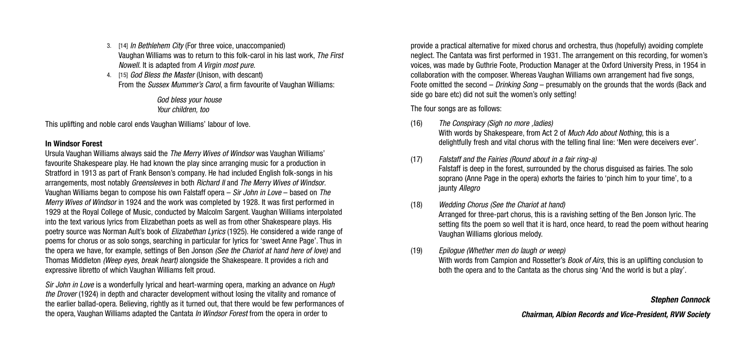- 3. [14] In Bethlehem City (For three voice, unaccompanied) Vaughan Williams was to return to this folk-carol in his last work, The First Nowell. It is adapted from A Virgin most pure.
- 4. [15] God Bless the Master (Unison, with descant) From the Sussex Mummer's Carol, a firm favourite of Vaughan Williams:

God bless your house Your children, too

This uplifting and noble carol ends Vaughan Williams' labour of love.

#### **In Windsor Forest**

Ursula Vaughan Williams always said the The Merry Wives of Windsor was Vaughan Williams' favourite Shakespeare play. He had known the play since arranging music for a production in Stratford in 1913 as part of Frank Benson's company. He had included English folk-songs in his arrangements, most notably Greensleeves in both Richard II and The Merry Wives of Windsor. Vaughan Williams began to compose his own Falstaff opera – Sir John in Love – based on The Merry Wives of Windsor in 1924 and the work was completed by 1928. It was first performed in 1929 at the Royal College of Music, conducted by Malcolm Sargent. Vaughan Williams interpolated into the text various lyrics from Elizabethan poets as well as from other Shakespeare plays. His poetry source was Norman Ault's book of Elizabethan Lyrics (1925). He considered a wide range of poems for chorus or as solo songs, searching in particular for lyrics for 'sweet Anne Page'. Thus in the opera we have, for example, settings of Ben Jonson *(See the Chariot at hand here of love)* and Thomas Middleton *(Weep eyes, break heart)* alongside the Shakespeare. It provides a rich and expressive libretto of which Vaughan Williams felt proud.

Sir John in Love is a wonderfully lyrical and heart-warming opera, marking an advance on Hugh the Drover (1924) in depth and character development without losing the vitality and romance of the earlier ballad-opera. Believing, rightly as it turned out, that there would be few performances of the opera, Vaughan Williams adapted the Cantata In Windsor Forest from the opera in order to

provide a practical alternative for mixed chorus and orchestra, thus (hopefully) avoiding complete neglect. The Cantata was first performed in 1931. The arrangement on this recording, for women's voices, was made by Guthrie Foote, Production Manager at the Oxford University Press, in 1954 in collaboration with the composer. Whereas Vaughan Williams own arrangement had five songs, Foote omitted the second – Drinking Song – presumably on the grounds that the words (Back and side go bare etc) did not suit the women's only setting!

The four songs are as follows:

- (16) The Conspiracy (Sigh no more ,ladies) With words by Shakespeare, from Act 2 of *Much Ado about Nothing*, this is a delightfully fresh and vital chorus with the telling final line: 'Men were deceivers ever'.
- (17) Falstaff and the Fairies (Round about in a fair ring-a) Falstaff is deep in the forest, surrounded by the chorus disguised as fairies. The solo soprano (Anne Page in the opera) exhorts the fairies to 'pinch him to your time', to a jaunty Allegro
- (18) Wedding Chorus (See the Chariot at hand)
	- Arranged for three-part chorus, this is a ravishing setting of the Ben Jonson lyric. The setting fits the poem so well that it is hard, once heard, to read the poem without hearing Vaughan Williams glorious melody.
- (19) Epilogue (Whether men do laugh or weep)

With words from Campion and Rossetter's *Book of Airs*, this is an uplifting conclusion to both the opera and to the Cantata as the chorus sing 'And the world is but a play'.

#### **Stephen Connock**

**Chairman, Albion Records and Vice-President, RVW Society**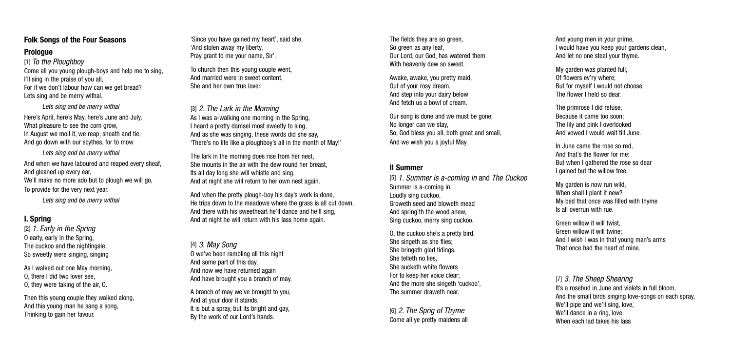#### **Folk Songs of the Four Seasons**

#### **Prologue**

[1] To the Ploughboy Come all you young plough-boys and help me to sing, I'll sing in the praise of you all, For if we don't labour how can we get bread? Lets sing and be merry withal.

Lets sing and be merry withal Here's April, here's May, here's June and July, What pleasure to see the corn grow In August we moil it, we reap, sheath and tie, And go down with our scythes, for to mow

Lets sing and be merry withal And when we have laboured and reaped every sheaf, And gleaned up every ear We'll make no more ado but to plough we will go. To provide for the very next year.

Lets sing and be merry withal

#### **I. Spring**

[2] 1. Early in the Spring O early, early in the Spring, The cuckoo and the nightingale, So sweetly were singing, singing

As I walked out one May morning, O, there I did two lover see, O, they were taking of the air, O.

Then this young couple they walked along, And this young man he sang a song, Thinking to gain her favour.

'Since you have gained my heart', said she, 'And stolen away my liberty, Pray grant to me your name, Sir'.

To church then this young couple went, And married were in sweet content, She and her own true lover.

[3] 2. The Lark in the Morning As I was a-walking one morning in the Spring. I heard a pretty damsel most sweetly to sing, And as she was singing, these words did she say, 'There's no life like a ploughboy's all in the month of May!'

The lark in the morning does rise from her nest, She mounts in the air with the dew round her breast Its all day long she will whistle and sing, And at night she will return to her own nest again.

And when the pretty plough-boy his day's work is done, He trips down to the meadows where the grass is all cut down, And there with his sweetheart he'll dance and he'll sing, And at night he will return with his lass home again.

#### [4] 3. May Song

O we've been rambling all this night And some part of this day, And now we have returned again And have brought you a branch of may.

A branch of may we've brought to you, And at your door it stands, It is but a spray, but its bright and gay, By the work of our Lord's hands.

The fields they are so green, So green as any leaf. Our Lord, our God, has watered them With heavenly dew so sweet

Awake, awake, you pretty maid, Out of your rosy dream, And step into your dairy below And fetch us a bowl of cream.

Our song is done and we must be gone No longer can we stay, So, God bless you all, both great and small, And we wish you a joyful May.

#### **II Summer**

[5] 1. Summer is a-coming in and The Cuckoo Summer is a-coming in, Loudly sing cuckoo, Groweth seed and bloweth mead And spring'th the wood anew, Sing cuckoo, merry sing cuckoo.

O, the cuckoo she's a pretty bird, She singeth as she flies; She bringeth glad tidings, She telleth no lies, She sucketh white flowers For to keep her voice clear; And the more she singeth 'cuckoo', The summer draweth near.

[6] 2. The Sprig of Thyme Come all ye pretty maidens all And young men in your prime, I would have you keep your gardens clean, And let no one steal your thyme.

My garden was planted full, Of flowers ev'ry where; But for myself I would not choose, The flower I held so dear.

The primrose I did refuse, Because it came too soon; The lily and pink I overlooked And vowed I would wait till June.

In June came the rose so red, And that's the flower for me: But when I gathered the rose so dear I gained but the willow tree.

My garden is now run wild, When shall I plant it new? My bed that once was filled with thyme Is all overrun with rue.

Green willow it will twist, Green willow it will twine; And I wish I was in that young man's arms That once had the heart of mine.

[7] 3. The Sheep Shearing It's a rosebud in June and violets in full bloom, And the small birds singing love-songs on each spray, We'll pipe and we'll sing, love We'll dance in a ring, love, When each lad takes his lass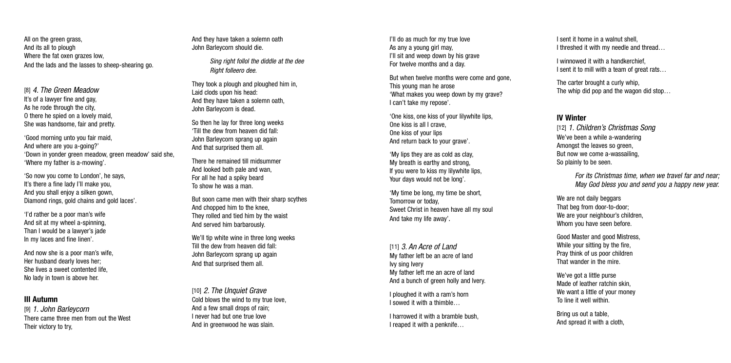All on the green grass, And its all to plough Where the fat oxen grazes low. And the lads and the lasses to sheep-shearing go.

[8] 4. The Green Meadow It's of a lawyer fine and gay, As he rode through the city, O there he spied on a lovely maid, She was handsome, fair and pretty.

'Good morning unto you fair maid, And where are you a-going?' 'Down in yonder green meadow, green meadow' said she, 'Where my father is a-mowing'.

'So no w you come to London', he says, It's there a fine lady I'll make you, And you shall enjoy a silken gown, Diamond rings, gold chains and gold laces'.

'I'd rather be a poor man's wife And sit a t my wheel a-spinning, Than I would be a lawyer' s jade In my laces and fine linen'.

And no w she is a poor man's wife, Her husband dearly loves her; She lives a sweet contented life, No lady in town is above her.

#### **III Autumn**

[9] 1. John Barleycorn There came three men from out the West Their victory to try,

And they have taken a solemn oath John Barleycorn should die.

> Sing right follol the diddle at the dee Right folleero dee.

They took a plough and ploughed him in Laid clods upon his head: And they have taken a solemn oath, John Barleycorn is dead.

So then he lay for three long weeks 'Till the dew from heaven did fall: John Barleycorn sprang up again And that surprised them all.

There he remained till midsummer And looked both pale and wan, For all he had a spiky beard To show he was a man.

But soon came men with their sharp scythes And chopped him to the knee, They rolled and tied him by the waist And served him barbarously.

We'll tip white wine in three long weeks Till the dew from heaven did fall: John Barleycorn sprang up again And that surprised them all.

[10] 2. The Unquiet Grave Cold blows the wind to my true love, And a few small drops of rain; I never had but one true love And in greenwood he was slain.

I'll do as much for my true love As any a young girl may. I'll sit and weep down by his grave For twelve months and a day.

But when twelve months were come and gone This young man he arose 'What makes you weep down by my grave? I can't take my repose'.

'One kiss, one kiss of your lilywhite lips, One kiss is all I crave, One kiss of your lips And return back to your grave'.

'My lips they are as cold as clay , My breath is earthy and strong, If you were to kiss my lilywhite lips, Your days would not be long'.

'My time be long, my time be short, Tomorrow or today, Sweet Christ in heaven have all my soul And take my life away' .

[11] 3. An Acre of Land My father left be an acre of land Ivy sing Ivery My father left me an acre of land And a bunch of green holly and Ivery.

I ploughed it with a ram's horn I sowed it with a thimble…

I harrowed it with a bramble bush, I reaped it with a penknife…

I sent it home in a walnut shell, I threshed it with my needle and thread…

I winnowed it with a handkerchief, I sent it to mill with a team of great rats...

The carter brought a curly whip, The whip did pop and the wagon did stop…

#### **IV Winter**

[12] 1. Children's Christmas Song We've been a while a-wandering Amongst the leaves so green, But no w we come a-wassailing, So plainly to be seen.

> For its Christmas time, when we travel far and near; May God bless you and send you a happy new year.

We are not daily beggars Tha t beg from door-to-door; W e are your neighbour' s children, Whom you have seen before.

Good Master and good Mistress, While your sitting by the fire, Pray think of us poor children That wander in the mire.

We've got a little purse Made of leather ratchin skin, We want a little of your money To line it well within.

Bring us out a table, And spread it with a cloth,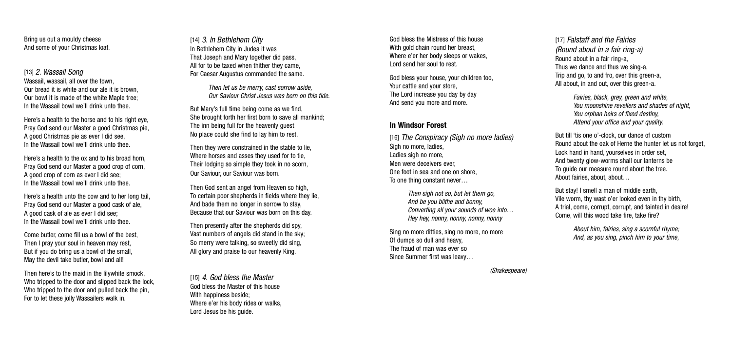Bring us out a mouldy cheese And some of your Christmas loaf.

[13] 2. Wassail Song Wassail, wassail, all over the town. Our bread it is white and our ale it is brown, Our bowl it is made of the white Maple tree; In the Wassail bowl we'll drink unto thee.

Here's a health to the horse and to his right eve. Pray God send our Master a good Christmas pie, A good Christmas pie as ever I did see, In the Wassail bowl we'll drink unto thee.

Here's a health to the ox and to his broad horn, Pray God send our Master a good crop of corn, A good crop of corn as ever I did see; In the Wassail bowl we'll drink unto thee.

Here's a health unto the cow and to her long tail, Pray God send our Master a good cask of ale, A good cask of ale as ever I did see; In the Wassail bowl we'll drink unto thee.

Come butler, come fill us a bowl of the best Then I pray your soul in heaven may rest, But if you do bring us a bowl of the small, May the devil take butler, bowl and all!

Then here's to the maid in the lilywhite smock, Who tripped to the door and slipped back the lock. Who tripped to the door and pulled back the pin. For to let these jolly Wassailers walk in.

[14] 3. In Bethlehem City In Bethlehem City in Judea it was That Joseph and Mary together did pass, All for to be taxed when thither they came, For Caesar Augustus commanded the same.

> Then let us be merry, cast sorrow aside Our Saviour Christ Jesus was born on this tide.

But Mary's full time being come as we find, She brought forth her first born to save all mankind; The inn being full for the heavenly guest No place could she find to lay him to rest.

Then they were constrained in the stable to lie, Where horses and asses they used for to tie, Their lodging so simple they took in no scorn, Our Saviour, our Saviour was born.

Then God sent an angel from Heaven so high, To certain poor shepherds in fields where they lie, And bade them no longer in sorrow to stay, Because that our Saviour was born on this day.

Then presently after the shepherds did spy, Vast numbers of angels did stand in the sky; So merry were talking, so sweetly did sing, All glory and praise to our heavenly King.

[15] 4. God bless the Master God bless the Master of this house With happiness beside; Where e'er his body rides or walks, Lord Jesus be his guide.

God bless the Mistress of this house With gold chain round her breast. Where e'er her body sleeps or wakes, Lord send her soul to rest.

God bless your house, your children too, Your cattle and your store, The Lord increase you day by day And send you more and more.

#### **In Windsor Forest**

[16] The Conspiracy (Sigh no more ladies) Sigh no more, ladies, Ladies sigh no more, Men were deceivers ever, One foot in sea and one on shore, To one thing constant never…

> Then sigh not so, but let them go. And be you blithe and bonny, Converting all your sounds of woe into… Hey hey, nonny, nonny, nonny, nonny

Sing no more ditties, sing no more, no more Of dumps so dull and heavy, The fraud of man was ever so Since Summer first was leavy…

[17] Falstaff and the Fairies (Round about in a fair ring-a) Round about in a fair ring-a, Thus we dance and thus we sing-a, Trip and go, to and fro, over this green-a, All about, in and out, over this green-a.

> Fairies, black, grey, green and white, You moonshine revellers and shades of night, You orphan heirs of fixed destiny, Attend your office and your quality.

But till 'tis one o'-clock, our dance of custom Round about the oak of Herne the hunter let us not forget, Lock hand in hand, yourselves in order set, And twenty glow-worms shall our lanterns be To guide our measure round about the tree. About fairies, about, about…

But stay! I smell a man of middle earth, Vile worm, thy wast o'er looked even in thy birth, A trial, come, corrupt, corrupt, and tainted in desire! Come, will this wood take fire, take fire?

> About him, fairies, sing a scornful rhyme; And, as you sing, pinch him to your time,

(Shakespeare)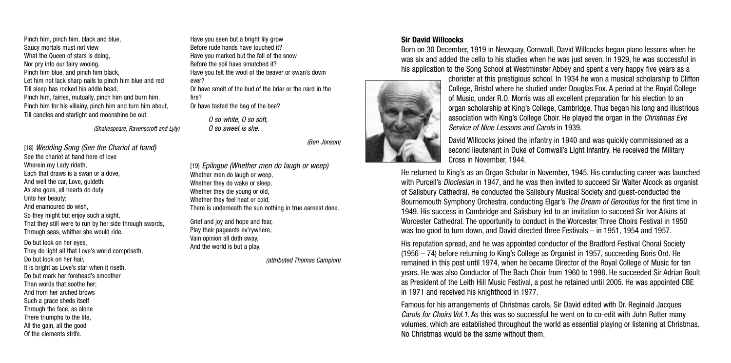Pinch him, pinch him, black and blue, Saucy mortals must not view What the Queen of stars is doing, Nor pry into our fairy wooing. Pinch him blue, and pinch him black, Let him not lack sharp nails to pinch him blue and red Till sleep has rocked his addle head, Pinch him, fairies, mutually, pinch him and burn him, Pinch him for his villainy, pinch him and turn him about, Till candles and starlight and moonshine be out.

(Shakespeare, Ravenscroft and Lyly)

[18] Wedding Song (See the Chariot at hand) See the chariot at hand here of love Wherein my Lady rideth, Each that draws is a swan or a dove, And well the car, Love, guideth. As she goes, all hearts do duty Unto her beauty; And enamoured do wish, So they might but enjoy such a sight, That they still were to run by her side through swords, Through seas, whither she would ride. Do but look on her eyes, They do light all that Love's world compriseth, Do but look on her hair It is bright as Love's star when it riseth. Do but mark her forehead's smoother Than words that soothe her:

And from her arched brows Such a grace sheds itself Through the face, as alone There triumphs to the life, All the gain, all the good Of the elements strife.

Have you seen but a bright lily grow Before rude hands have touched it? Have you marked but the fall of the snow Before the soil have smutched it? Have you felt the wool of the beaver or swan's down ever?

Or have smelt of the bud of the briar or the nard in the fire? Or have tasted the bag of the bee?

 $\Omega$  so white,  $\Omega$  so soft O so sweet is she.

(Ben Jonson)

[19] Epiloque (Whether men do laugh or weep) Whether men do laugh or weep. Whether they do wake or sleep Whether they die young or old, Whether they feel heat or cold, There is underneath the sun nothing in true earnest done.

Grief and joy and hope and fear Play their pageants ev'rywhere, Vain opinion all doth sway, And the world is but a play.

(attributed Thomas Campion)

#### **Sir David Willcocks**

Born on 30 December, 1919 in Newquay, Cornwall, David Willcocks began piano lessons when he was six and added the cello to his studies when he was just seven. In 1929, he was successful in his application to the Song School at Westminster Abbey and spent a very happy five years as a



chorister at this prestigious school. In 1934 he won a musical scholarship to Clifton College, Bristol where he studied under Douglas Fox. A period at the Royal College of Music, under R.O. Morris was all excellent preparation for his election to an organ scholarship at King's College, Cambridge. Thus began his long and illustrious association with King's College Choir. He played the organ in the Christmas Eve Service of Nine Lessons and Carols in 1939.

David Willcocks joined the infantry in 1940 and was quickly commissioned as a second lieutenant in Duke of Cornwall's Light Infantry. He received the Military Cross in November, 1944.

He returned to King's as an Organ Scholar in November, 1945. His conducting career was launched with Purcell's *Dioclesian* in 1947, and he was then invited to succeed Sir Walter Alcock as organist of Salisbury Cathedral. He conducted the Salisbury Musical Society and guest-conducted the Bournemouth Symphony Orchestra, conducting Elgar's *The Dream of Gerontius* for the first time in 1949. His success in Cambridge and Salisbury led to an invitation to succeed Sir Ivor Atkins at Worcester Cathedral. The opportunity to conduct in the Worcester Three Choirs Festival in 1950 was too good to turn down, and David directed three Festivals – in 1951, 1954 and 1957.

His reputation spread, and he was appointed conductor of the Bradford Festival Choral Society (1956 – 74) before returning to King's College as Organist in 1957, succeeding Boris Ord. He remained in this post until 1974, when he became Director of the Royal College of Music for ten years. He was also Conductor of The Bach Choir from 1960 to 1998. He succeeded Sir Adrian Boult as President of the Leith Hill Music Festival, a post he retained until 2005. He was appointed CBE in 1971 and received his knighthood in 1977.

Famous for his arrangements of Christmas carols, Sir David edited with Dr. Reginald Jacques Carols for Choirs Vol.1. As this was so successful he went on to co-edit with John Rutter many volumes, which are established throughout the world as essential playing or listening at Christmas. No Christmas would be the same without them.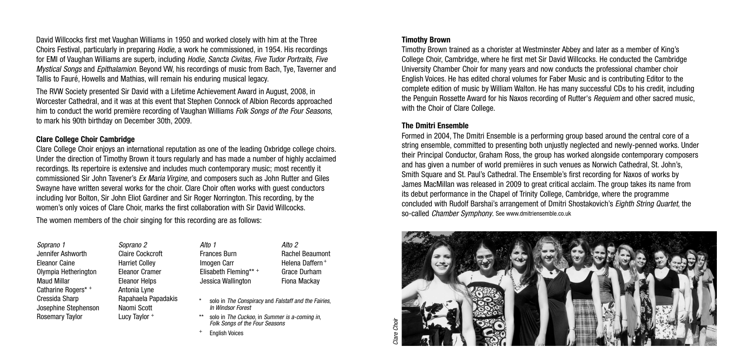David Willcocks first met Vaughan Williams in 1950 and worked closely with him at the Three Choirs Festival, particularly in preparing Hodie, a work he commissioned, in 1954. His recordings for EMI of Vaughan Williams are superb, including Hodie, Sancta Civitas, Five Tudor Portraits, Five Mystical Songs and Epithalamion. Beyond VW, his recordings of music from Bach, Tye, Taverner and Tallis to Fauré, Howells and Mathias, will remain his enduring musical legacy.

The RVW Society presented Sir David with a Lifetime Achievement Award in August, 2008, in Worcester Cathedral, and it was at this event that Stephen Connock of Albion Records approached him to conduct the world première recording of Vaughan Williams Folk Songs of the Four Seasons. to mark his 90th birthday on December 30th, 2009.

#### **Clare College Choir Cambridge**

Clare College Choir enjoys an international reputation as one of the leading Oxbridge college choirs. Under the direction of Timothy Brown it tours regularly and has made a number of highly acclaimed recordings. Its repertoire is extensive and includes much contemporary music; most recently it commissioned Sir John Tavener's Ex Maria Virgine, and composers such as John Rutter and Giles Swayne have written several works for the choir. Clare Choir often works with guest conductors including Ivor Bolton, Sir John Eliot Gardiner and Sir Roger Norrington. This recording, by the women's only voices of Clare Choir, marks the first collaboration with Sir David Willcocks.

The women members of the choir singing for this recording are as follows:

Soprano 2

Naomi Scott Lucy Taylor <sup>+</sup>

Soprano 1 Jennifer Ashworth Eleanor Caine Olympia Hetherington Maud Millar Catharine Rogers\* + Cressida Sharp Josephine Stephenson Rosemary Taylor

Claire Cockcroft Harriet Colley Eleanor Cramer Eleanor Helps Antonia Lyne Alto<sub>1</sub> Frances Burn Imogen Carr Elisabeth Fleming\*\* <sup>+</sup> Jessica Wallington

- Rapahaela Papadakis
- Rachel Beaumont Helena Daffern <sup>+</sup> Grace Durham Fiona Mackay

Alto<sub>2</sub>

- solo in The Conspiracy and Falstaff and the Fairies, In Windsor Forest
- solo in The Cuckoo, in Summer is a-coming in, Folk Songs of the Four Seasons
- **English Voices**

#### **Timothy Brown**

Timothy Brown trained as a chorister at Westminster Abbey and later as a member of King's College Choir, Cambridge, where he first met Sir David Willcocks. He conducted the Cambridge University Chamber Choir for many years and now conducts the professional chamber choir English Voices. He has edited choral volumes for Faber Music and is contributing Editor to the complete edition of music by William Walton. He has many successful CDs to his credit, including the Penguin Rossette Award for his Naxos recording of Rutter's Requiem and other sacred music, with the Choir of Clare College.

#### **The Dmitri Ensemble**

Formed in 2004, The Dmitri Ensemble is a performing group based around the central core of a string ensemble, committed to presenting both unjustly neglected and newly-penned works. Under their Principal Conductor, Graham Ross, the group has worked alongside contemporary composers and has given a number of world premières in such venues as Norwich Cathedral, St. John's, Smith Square and St. Paul's Cathedral. The Ensemble's first recording for Naxos of works by James MacMillan was released in 2009 to great critical acclaim. The group takes its name from its debut performance in the Chapel of Trinity College, Cambridge, where the programme concluded with Rudolf Barshai's arrangement of Dmitri Shostakovich's Eighth String Quartet, the so-called Chamber Symphony. See www.dmitriensemble.co.uk